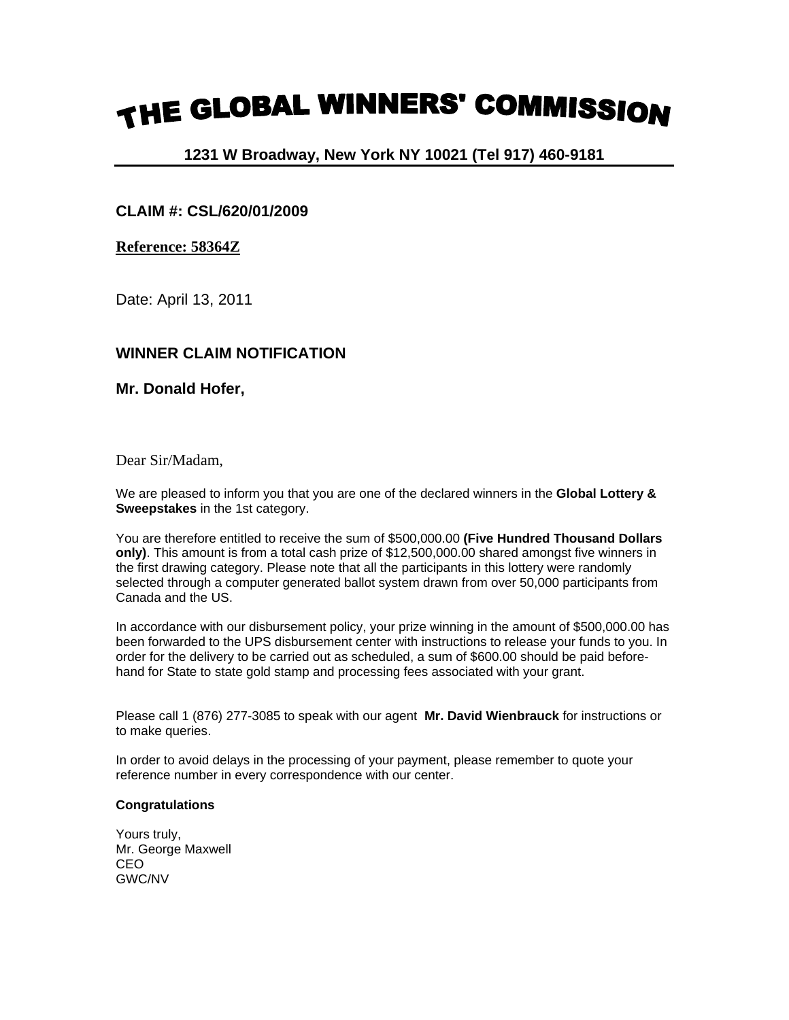# THE GLOBAL WINNERS' COMMISSION

## **1231 W Broadway, New York NY 10021 (Tel 917) 460-9181**

## **CLAIM #: CSL/620/01/2009**

### **Reference: 58364Z**

Date: April 13, 2011

## **WINNER CLAIM NOTIFICATION**

**Mr. Donald Hofer,**

Dear Sir/Madam,

We are pleased to inform you that you are one of the declared winners in the **Global Lottery & Sweepstakes** in the 1st category.

You are therefore entitled to receive the sum of \$500,000.00 **(Five Hundred Thousand Dollars only)**. This amount is from a total cash prize of \$12,500,000.00 shared amongst five winners in the first drawing category. Please note that all the participants in this lottery were randomly selected through a computer generated ballot system drawn from over 50,000 participants from Canada and the US.

In accordance with our disbursement policy, your prize winning in the amount of \$500,000.00 has been forwarded to the UPS disbursement center with instructions to release your funds to you. In order for the delivery to be carried out as scheduled, a sum of \$600.00 should be paid beforehand for State to state gold stamp and processing fees associated with your grant.

Please call 1 (876) 277-3085 to speak with our agent **Mr. David Wienbrauck** for instructions or to make queries.

In order to avoid delays in the processing of your payment, please remember to quote your reference number in every correspondence with our center.

#### **Congratulations**

Yours truly, Mr. George Maxwell CEO GWC/NV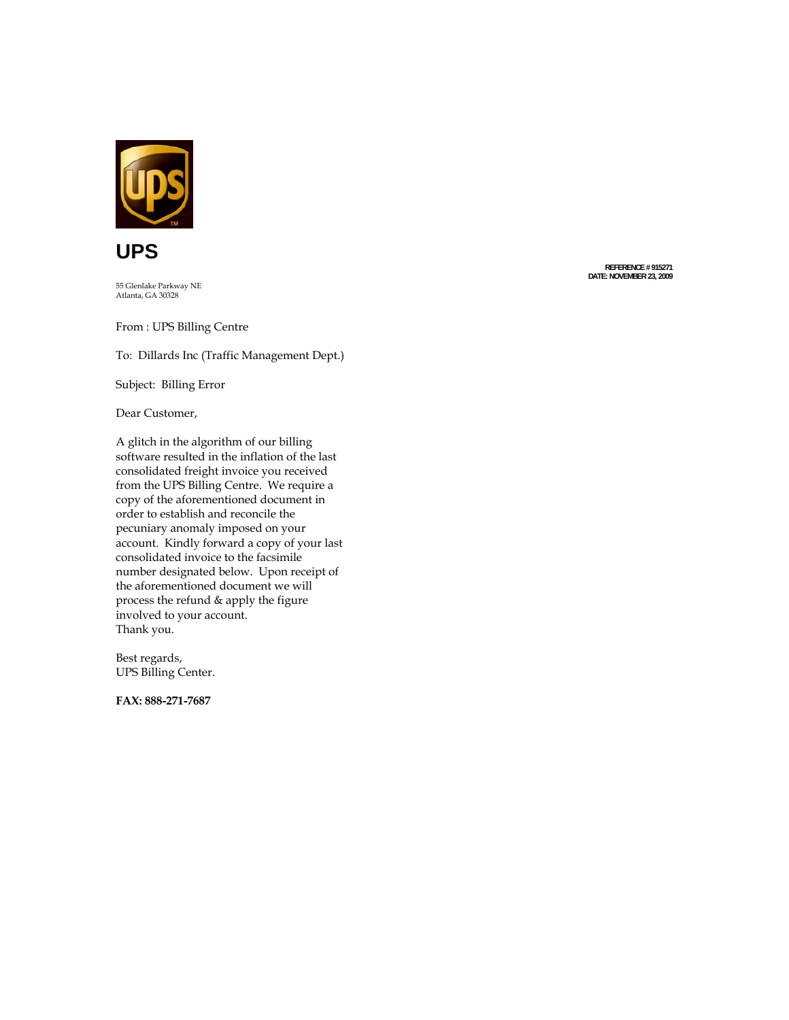



55 Glenlake Parkway NE

From : UPS Billing Centre

To: Dil lards Inc (Traffic Man a g e m e n t Dept.)

Subject: Billing Error

Dear C ustomer,

A glitch in the alg orithm of o ur billing software resulted in the inflation of the last consoli dated freight invoi ce y ou receive d from the UPS Billing Centre. We require a copy of the afo rementioned d ocument in order to e stablish and reconcile the pecuniary anomaly imposed on your account. Kindly forward a copy of your last consoli dated invoice to the fac simile n u m ber desig nated below. U pon receipt of the aforementioned document we will process the ref und & apply the figure involve d to y o u r accou nt. Thank you.

Best regards, UPS Billing Center.

**FAX: 888-271-7687** 

**R EFER E N C E # 915271 DATE: NOVEMBER 23, 2009**